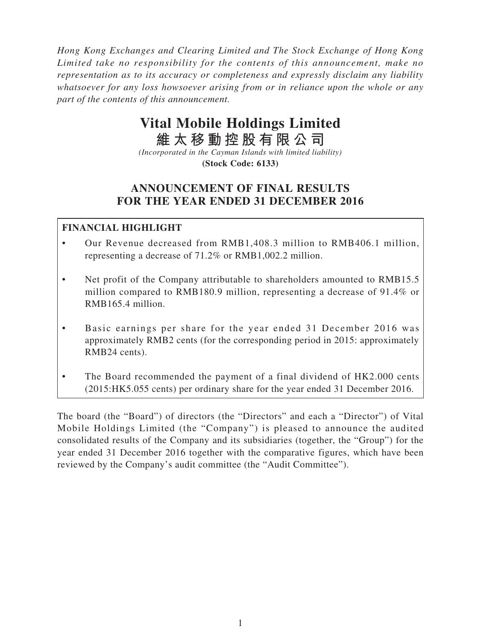*Hong Kong Exchanges and Clearing Limited and The Stock Exchange of Hong Kong Limited take no responsibility for the contents of this announcement, make no representation as to its accuracy or completeness and expressly disclaim any liability whatsoever for any loss howsoever arising from or in reliance upon the whole or any part of the contents of this announcement.*

# **Vital Mobile Holdings Limited**

**維太移動控股有限公司** *(Incorporated in the Cayman Islands with limited liability)*

**(Stock Code: 6133)**

# **ANNOUNCEMENT OF FINAL RESULTS FOR THE YEAR ENDED 31 DECEMBER 2016**

# **FINANCIAL HIGHLIGHT**

- • Our Revenue decreased from RMB1,408.3 million to RMB406.1 million, representing a decrease of 71.2% or RMB1,002.2 million.
- Net profit of the Company attributable to shareholders amounted to RMB15.5 million compared to RMB180.9 million, representing a decrease of 91.4% or RMB165.4 million.
- Basic earnings per share for the year ended 31 December 2016 was approximately RMB2 cents (for the corresponding period in 2015: approximately RMB24 cents).
- The Board recommended the payment of a final dividend of  $HK2.000$  cents (2015:HK5.055 cents) per ordinary share for the year ended 31 December 2016.

The board (the "Board") of directors (the "Directors" and each a "Director") of Vital Mobile Holdings Limited (the "Company") is pleased to announce the audited consolidated results of the Company and its subsidiaries (together, the "Group") for the year ended 31 December 2016 together with the comparative figures, which have been reviewed by the Company's audit committee (the "Audit Committee").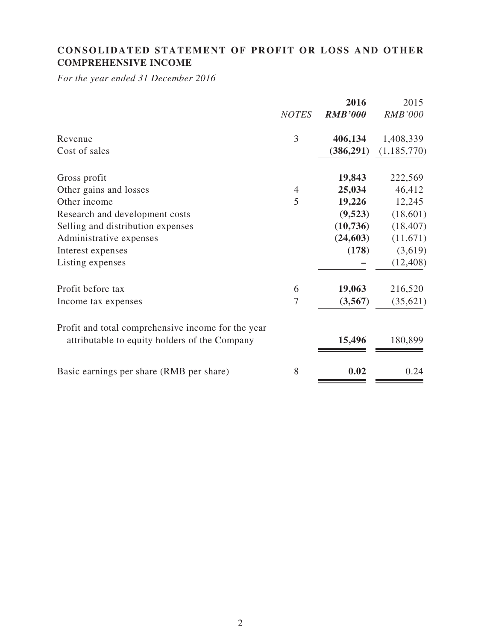# **CONSOLIDATED STATEMENT OF PROFIT OR LOSS AND OTHER COMPREHENSIVE INCOME**

*For the year ended 31 December 2016*

| <b>NOTES</b>                                       | 2016<br><b>RMB'000</b> | 2015<br><b>RMB'000</b> |
|----------------------------------------------------|------------------------|------------------------|
| 3                                                  | 406,134                | 1,408,339              |
|                                                    | (386,291)              | (1,185,770)            |
|                                                    | 19,843                 | 222,569                |
| $\overline{4}$                                     | 25,034                 | 46,412                 |
| 5                                                  | 19,226                 | 12,245                 |
|                                                    | (9,523)                | (18,601)               |
|                                                    | (10, 736)              | (18, 407)              |
|                                                    | (24, 603)              | (11, 671)              |
|                                                    | (178)                  | (3,619)                |
|                                                    |                        | (12, 408)              |
| 6                                                  | 19,063                 | 216,520                |
| 7                                                  | (3,567)                | (35, 621)              |
| Profit and total comprehensive income for the year |                        |                        |
|                                                    | 15,496                 | 180,899                |
| 8                                                  | 0.02                   | 0.24                   |
|                                                    |                        |                        |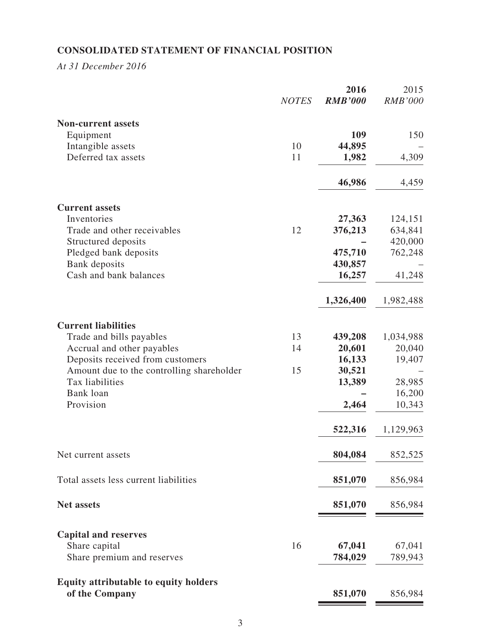# **CONSOLIDATED STATEMENT OF FINANCIAL POSITION**

*At 31 December 2016*

|                                              | <b>NOTES</b> | 2016<br><b>RMB'000</b> | 2015<br><b>RMB'000</b> |
|----------------------------------------------|--------------|------------------------|------------------------|
| <b>Non-current assets</b>                    |              |                        |                        |
| Equipment                                    |              | 109                    | 150                    |
| Intangible assets                            | 10           | 44,895                 |                        |
| Deferred tax assets                          | 11           | 1,982                  | 4,309                  |
|                                              |              | 46,986                 | 4,459                  |
| <b>Current assets</b>                        |              |                        |                        |
| Inventories                                  |              | 27,363                 | 124,151                |
| Trade and other receivables                  | 12           | 376,213                | 634,841                |
| Structured deposits                          |              |                        | 420,000                |
| Pledged bank deposits                        |              | 475,710                | 762,248                |
| Bank deposits                                |              | 430,857                |                        |
| Cash and bank balances                       |              | 16,257                 | 41,248                 |
|                                              |              | 1,326,400              | 1,982,488              |
| <b>Current liabilities</b>                   |              |                        |                        |
| Trade and bills payables                     | 13           | 439,208                | 1,034,988              |
| Accrual and other payables                   | 14           | 20,601                 | 20,040                 |
| Deposits received from customers             |              | 16,133                 | 19,407                 |
| Amount due to the controlling shareholder    | 15           | 30,521                 |                        |
| Tax liabilities                              |              | 13,389                 | 28,985                 |
| Bank loan                                    |              |                        | 16,200                 |
| Provision                                    |              | 2,464                  | 10,343                 |
|                                              |              | 522,316                | 1,129,963              |
| Net current assets                           |              | 804,084                | 852,525                |
|                                              |              |                        |                        |
| Total assets less current liabilities        |              | 851,070                | 856,984                |
| <b>Net assets</b>                            |              | 851,070                | 856,984                |
| <b>Capital and reserves</b>                  |              |                        |                        |
| Share capital                                | 16           | 67,041                 | 67,041                 |
| Share premium and reserves                   |              | 784,029                | 789,943                |
| <b>Equity attributable to equity holders</b> |              |                        |                        |
| of the Company                               |              | 851,070                | 856,984                |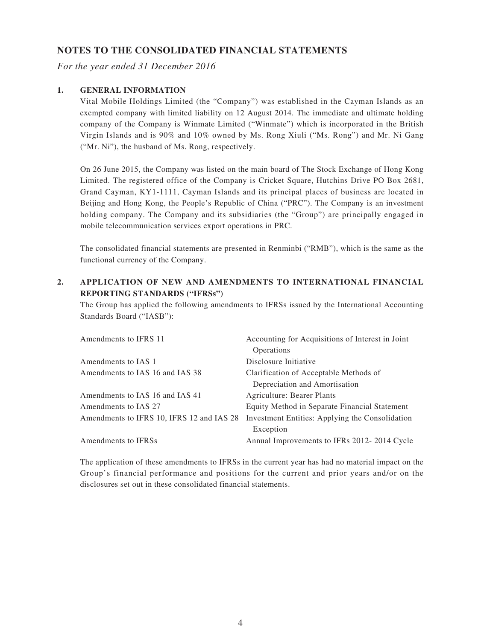#### **NOTES TO THE CONSOLIDATED FINANCIAL STATEMENTS**

*For the year ended 31 December 2016*

#### **1. GENERAL INFORMATION**

Vital Mobile Holdings Limited (the "Company") was established in the Cayman Islands as an exempted company with limited liability on 12 August 2014. The immediate and ultimate holding company of the Company is Winmate Limited ("Winmate") which is incorporated in the British Virgin Islands and is 90% and 10% owned by Ms. Rong Xiuli ("Ms. Rong") and Mr. Ni Gang ("Mr. Ni"), the husband of Ms. Rong, respectively.

On 26 June 2015, the Company was listed on the main board of The Stock Exchange of Hong Kong Limited. The registered office of the Company is Cricket Square, Hutchins Drive PO Box 2681, Grand Cayman, KY1-1111, Cayman Islands and its principal places of business are located in Beijing and Hong Kong, the People's Republic of China ("PRC"). The Company is an investment holding company. The Company and its subsidiaries (the "Group") are principally engaged in mobile telecommunication services export operations in PRC.

The consolidated financial statements are presented in Renminbi ("RMB"), which is the same as the functional currency of the Company.

#### **2. APPLICATION OF NEW AND AMENDMENTS TO INTERNATIONAL FINANCIAL REPORTING STANDARDS ("IFRSs")**

The Group has applied the following amendments to IFRSs issued by the International Accounting Standards Board ("IASB"):

| Amendments to IFRS 11                     | Accounting for Acquisitions of Interest in Joint<br>Operations |
|-------------------------------------------|----------------------------------------------------------------|
| Amendments to IAS 1                       | Disclosure Initiative                                          |
| Amendments to IAS 16 and IAS 38           | Clarification of Acceptable Methods of                         |
|                                           | Depreciation and Amortisation                                  |
| Amendments to IAS 16 and IAS 41           | <b>Agriculture: Bearer Plants</b>                              |
| Amendments to IAS 27                      | Equity Method in Separate Financial Statement                  |
| Amendments to IFRS 10, IFRS 12 and IAS 28 | Investment Entities: Applying the Consolidation                |
|                                           | Exception                                                      |
| Amendments to IFRSs                       | Annual Improvements to IFRs 2012-2014 Cycle                    |

The application of these amendments to IFRSs in the current year has had no material impact on the Group's financial performance and positions for the current and prior years and/or on the disclosures set out in these consolidated financial statements.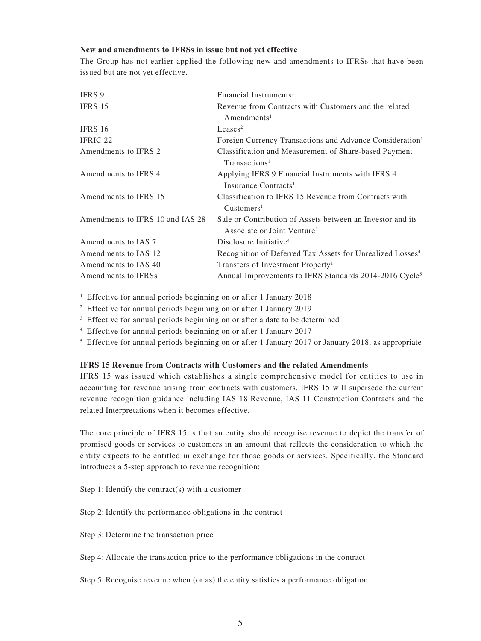#### **New and amendments to IFRSs in issue but not yet effective**

The Group has not earlier applied the following new and amendments to IFRSs that have been issued but are not yet effective.

| <b>IFRS 9</b>                    | Financial Instruments <sup>1</sup>                                                                    |
|----------------------------------|-------------------------------------------------------------------------------------------------------|
| IFRS 15                          | Revenue from Contracts with Customers and the related<br>$A$ mendments <sup>1</sup>                   |
| IFRS 16                          | Leases <sup>2</sup>                                                                                   |
| IFRIC 22                         | Foreign Currency Transactions and Advance Consideration <sup>1</sup>                                  |
| Amendments to IFRS 2             | Classification and Measurement of Share-based Payment<br>Transactions <sup>1</sup>                    |
| Amendments to IFRS 4             | Applying IFRS 9 Financial Instruments with IFRS 4<br>Insurance Contracts <sup>1</sup>                 |
| Amendments to IFRS 15            | Classification to IFRS 15 Revenue from Contracts with<br>Customers <sup>1</sup>                       |
| Amendments to IFRS 10 and IAS 28 | Sale or Contribution of Assets between an Investor and its<br>Associate or Joint Venture <sup>3</sup> |
| Amendments to IAS 7              | Disclosure Initiative <sup>4</sup>                                                                    |
| Amendments to IAS 12             | Recognition of Deferred Tax Assets for Unrealized Losses <sup>4</sup>                                 |
| Amendments to IAS 40             | Transfers of Investment Property <sup>1</sup>                                                         |
| Amendments to IFRSs              | Annual Improvements to IFRS Standards 2014-2016 Cycle <sup>5</sup>                                    |

<sup>1</sup> Effective for annual periods beginning on or after 1 January 2018

 $2$  Effective for annual periods beginning on or after 1 January 2019

<sup>3</sup> Effective for annual periods beginning on or after a date to be determined

<sup>4</sup> Effective for annual periods beginning on or after 1 January 2017

 $<sup>5</sup>$  Effective for annual periods beginning on or after 1 January 2017 or January 2018, as appropriate</sup>

#### **IFRS 15 Revenue from Contracts with Customers and the related Amendments**

IFRS 15 was issued which establishes a single comprehensive model for entities to use in accounting for revenue arising from contracts with customers. IFRS 15 will supersede the current revenue recognition guidance including IAS 18 Revenue, IAS 11 Construction Contracts and the related Interpretations when it becomes effective.

The core principle of IFRS 15 is that an entity should recognise revenue to depict the transfer of promised goods or services to customers in an amount that reflects the consideration to which the entity expects to be entitled in exchange for those goods or services. Specifically, the Standard introduces a 5-step approach to revenue recognition:

Step 1: Identify the contract(s) with a customer

Step 2: Identify the performance obligations in the contract

Step 3: Determine the transaction price

Step 4: Allocate the transaction price to the performance obligations in the contract

Step 5: Recognise revenue when (or as) the entity satisfies a performance obligation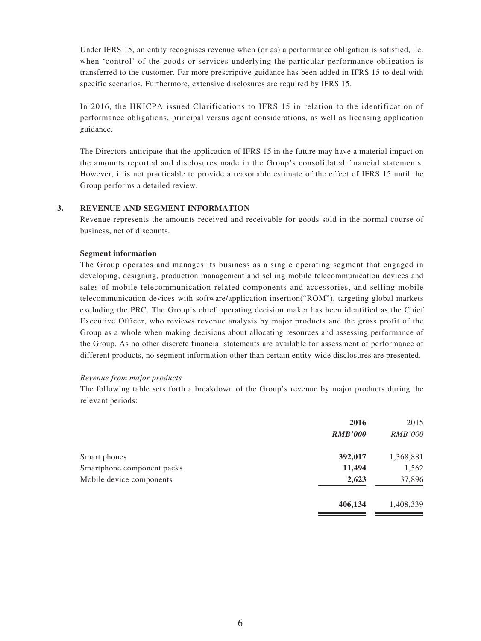Under IFRS 15, an entity recognises revenue when (or as) a performance obligation is satisfied, i.e. when 'control' of the goods or services underlying the particular performance obligation is transferred to the customer. Far more prescriptive guidance has been added in IFRS 15 to deal with specific scenarios. Furthermore, extensive disclosures are required by IFRS 15.

In 2016, the HKICPA issued Clarifications to IFRS 15 in relation to the identification of performance obligations, principal versus agent considerations, as well as licensing application guidance.

The Directors anticipate that the application of IFRS 15 in the future may have a material impact on the amounts reported and disclosures made in the Group's consolidated financial statements. However, it is not practicable to provide a reasonable estimate of the effect of IFRS 15 until the Group performs a detailed review.

#### **3. REVENUE AND SEGMENT INFORMATION**

Revenue represents the amounts received and receivable for goods sold in the normal course of business, net of discounts.

#### **Segment information**

The Group operates and manages its business as a single operating segment that engaged in developing, designing, production management and selling mobile telecommunication devices and sales of mobile telecommunication related components and accessories, and selling mobile telecommunication devices with software/application insertion("ROM"), targeting global markets excluding the PRC. The Group's chief operating decision maker has been identified as the Chief Executive Officer, who reviews revenue analysis by major products and the gross profit of the Group as a whole when making decisions about allocating resources and assessing performance of the Group. As no other discrete financial statements are available for assessment of performance of different products, no segment information other than certain entity-wide disclosures are presented.

#### *Revenue from major products*

The following table sets forth a breakdown of the Group's revenue by major products during the relevant periods:

|                            | 2016<br><b>RMB'000</b> | 2015<br><i>RMB'000</i> |
|----------------------------|------------------------|------------------------|
| Smart phones               | 392,017                | 1,368,881              |
| Smartphone component packs | 11,494                 | 1,562                  |
| Mobile device components   | 2,623                  | 37,896                 |
|                            | 406,134                | 1,408,339              |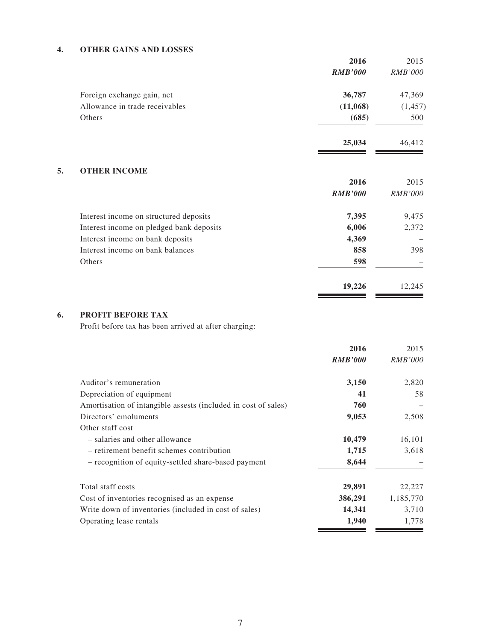#### **4. OTHER GAINS AND LOSSES**

|    |                                          | 2016           | 2015     |
|----|------------------------------------------|----------------|----------|
|    |                                          | <b>RMB'000</b> | RMB'000  |
|    | Foreign exchange gain, net               | 36,787         | 47,369   |
|    | Allowance in trade receivables           | (11,068)       | (1, 457) |
|    | Others                                   | (685)          | 500      |
|    |                                          | 25,034         | 46,412   |
| 5. | <b>OTHER INCOME</b>                      |                |          |
|    |                                          | 2016           | 2015     |
|    |                                          | <b>RMB'000</b> | RMB'000  |
|    | Interest income on structured deposits   | 7,395          | 9,475    |
|    | Interest income on pledged bank deposits | 6,006          | 2,372    |
|    | Interest income on bank deposits         | 4,369          |          |
|    | Interest income on bank balances         | 858            | 398      |
|    | Others                                   | 598            |          |
|    |                                          | 19,226         | 12,245   |
|    |                                          |                |          |

#### **6. PROFIT BEFORE TAX**

Profit before tax has been arrived at after charging:

|                                                                | 2016           | 2015           |
|----------------------------------------------------------------|----------------|----------------|
|                                                                | <b>RMB'000</b> | <b>RMB'000</b> |
| Auditor's remuneration                                         | 3,150          | 2,820          |
| Depreciation of equipment                                      | 41             | 58             |
| Amortisation of intangible assests (included in cost of sales) | 760            |                |
| Directors' emoluments                                          | 9,053          | 2,508          |
| Other staff cost                                               |                |                |
| - salaries and other allowance                                 | 10,479         | 16,101         |
| - retirement benefit schemes contribution                      | 1,715          | 3,618          |
| - recognition of equity-settled share-based payment            | 8,644          |                |
| Total staff costs                                              | 29,891         | 22,227         |
| Cost of inventories recognised as an expense                   | 386,291        | 1,185,770      |
| Write down of inventories (included in cost of sales)          | 14,341         | 3,710          |
| Operating lease rentals                                        | 1,940          | 1,778          |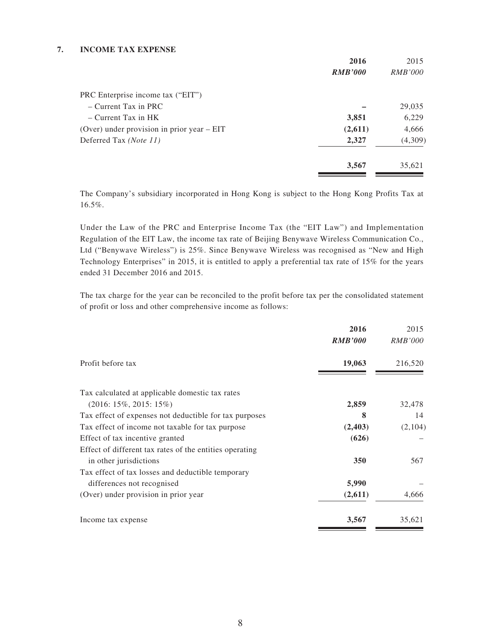#### **7. INCOME TAX EXPENSE**

|                                              | 2016           | 2015           |
|----------------------------------------------|----------------|----------------|
|                                              | <b>RMB'000</b> | <i>RMB'000</i> |
| PRC Enterprise income tax ("EIT")            |                |                |
| $-$ Current Tax in PRC                       |                | 29,035         |
| $-$ Current Tax in HK                        | 3,851          | 6,229          |
| (Over) under provision in prior year $-$ EIT | (2,611)        | 4,666          |
| Deferred Tax (Note 11)                       | 2,327          | (4,309)        |
|                                              | 3,567          | 35,621         |

The Company's subsidiary incorporated in Hong Kong is subject to the Hong Kong Profits Tax at 16.5%.

Under the Law of the PRC and Enterprise Income Tax (the "EIT Law") and Implementation Regulation of the EIT Law, the income tax rate of Beijing Benywave Wireless Communication Co., Ltd ("Benywave Wireless") is 25%. Since Benywave Wireless was recognised as "New and High Technology Enterprises" in 2015, it is entitled to apply a preferential tax rate of 15% for the years ended 31 December 2016 and 2015.

The tax charge for the year can be reconciled to the profit before tax per the consolidated statement of profit or loss and other comprehensive income as follows:

|                                                         | 2016<br><b>RMB'000</b> | 2015<br><i>RMB'000</i> |
|---------------------------------------------------------|------------------------|------------------------|
| Profit before tax                                       | 19,063                 | 216,520                |
| Tax calculated at applicable domestic tax rates         |                        |                        |
| $(2016: 15\%, 2015: 15\%)$                              | 2,859                  | 32,478                 |
| Tax effect of expenses not deductible for tax purposes  | 8                      | 14                     |
| Tax effect of income not taxable for tax purpose        | (2,403)                | (2,104)                |
| Effect of tax incentive granted                         | (626)                  |                        |
| Effect of different tax rates of the entities operating |                        |                        |
| in other jurisdictions                                  | 350                    | 567                    |
| Tax effect of tax losses and deductible temporary       |                        |                        |
| differences not recognised                              | 5,990                  |                        |
| (Over) under provision in prior year                    | (2,611)                | 4,666                  |
| Income tax expense                                      | 3,567                  | 35,621                 |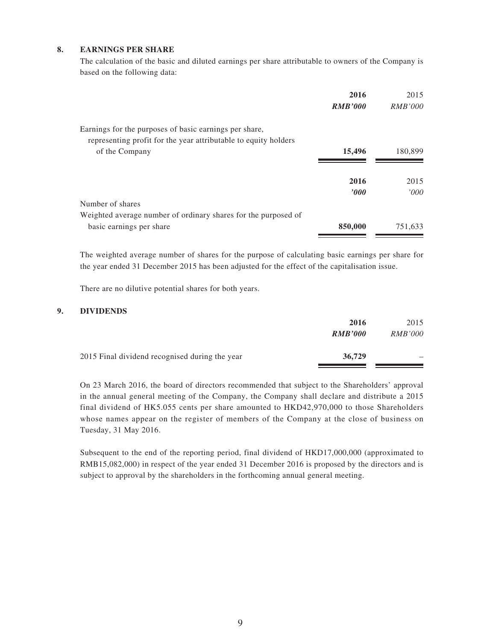#### **8. EARNINGS PER SHARE**

The calculation of the basic and diluted earnings per share attributable to owners of the Company is based on the following data:

|                                                                 | 2016           | 2015           |
|-----------------------------------------------------------------|----------------|----------------|
|                                                                 | <b>RMB'000</b> | <i>RMB'000</i> |
| Earnings for the purposes of basic earnings per share,          |                |                |
| representing profit for the year attributable to equity holders |                |                |
| of the Company                                                  | 15,496         | 180,899        |
|                                                                 | 2016           | 2015           |
|                                                                 | 2000           | 000'           |
| Number of shares                                                |                |                |
| Weighted average number of ordinary shares for the purposed of  |                |                |
| basic earnings per share                                        | 850,000        | 751,633        |

The weighted average number of shares for the purpose of calculating basic earnings per share for the year ended 31 December 2015 has been adjusted for the effect of the capitalisation issue.

There are no dilutive potential shares for both years.

#### **9. DIVIDENDS**

| 2016           | 2015                     |
|----------------|--------------------------|
| <b>RMB'000</b> | <i>RMB'000</i>           |
| 36,729         | $\overline{\phantom{a}}$ |
|                |                          |

On 23 March 2016, the board of directors recommended that subject to the Shareholders' approval in the annual general meeting of the Company, the Company shall declare and distribute a 2015 final dividend of HK5.055 cents per share amounted to HKD42,970,000 to those Shareholders whose names appear on the register of members of the Company at the close of business on Tuesday, 31 May 2016.

Subsequent to the end of the reporting period, final dividend of HKD17,000,000 (approximated to RMB15,082,000) in respect of the year ended 31 December 2016 is proposed by the directors and is subject to approval by the shareholders in the forthcoming annual general meeting.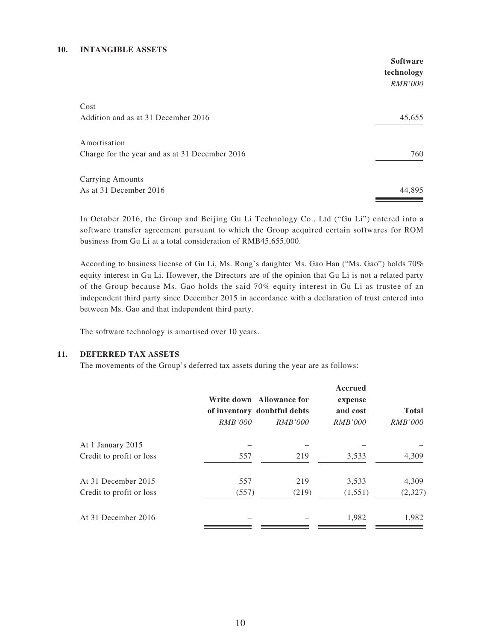#### **10. INTANGIBLE ASSETS**

|                                                | <b>Software</b><br>technology |
|------------------------------------------------|-------------------------------|
|                                                | <i>RMB'000</i>                |
| Cost                                           |                               |
| Addition and as at 31 December 2016            | 45,655                        |
| Amortisation                                   |                               |
| Charge for the year and as at 31 December 2016 | 760                           |
| Carrying Amounts                               |                               |
| As at 31 December 2016                         | 44,895                        |

In October 2016, the Group and Beijing Gu Li Technology Co., Ltd ("Gu Li") entered into a software transfer agreement pursuant to which the Group acquired certain softwares for ROM business from Gu Li at a total consideration of RMB45,655,000.

According to business license of Gu Li, Ms. Rong's daughter Ms. Gao Han ("Ms. Gao") holds 70% equity interest in Gu Li. However, the Directors are of the opinion that Gu Li is not a related party of the Group because Ms. Gao holds the said 70% equity interest in Gu Li as trustee of an independent third party since December 2015 in accordance with a declaration of trust entered into between Ms. Gao and that independent third party.

The software technology is amortised over 10 years.

#### **11. DEFERRED TAX ASSETS**

The movements of the Group's deferred tax assets during the year are as follows:

|                          | <i>RMB'000</i> | Write down Allowance for<br>of inventory doubtful debts<br><i>RMB'000</i> | Accrued<br>expense<br>and cost<br><i>RMB'000</i> | Total<br><i>RMB'000</i> |
|--------------------------|----------------|---------------------------------------------------------------------------|--------------------------------------------------|-------------------------|
| At 1 January 2015        |                |                                                                           |                                                  |                         |
| Credit to profit or loss | 557            | 219                                                                       | 3,533                                            | 4,309                   |
| At 31 December 2015      | 557            | 219                                                                       | 3,533                                            | 4,309                   |
| Credit to profit or loss | (557)          | (219)                                                                     | (1,551)                                          | (2,327)                 |
| At 31 December 2016      |                |                                                                           | 1,982                                            | 1,982                   |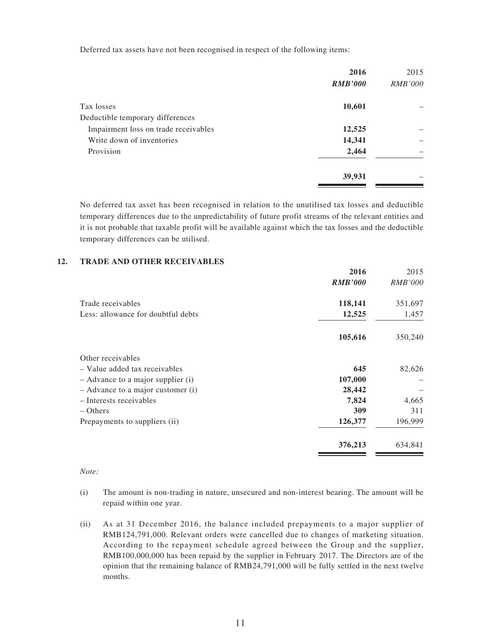Deferred tax assets have not been recognised in respect of the following items:

|                                      | 2016           | 2015           |
|--------------------------------------|----------------|----------------|
|                                      | <b>RMB'000</b> | <i>RMB'000</i> |
| Tax losses                           | 10,601         |                |
| Deductible temporary differences     |                |                |
| Impairment loss on trade receivables | 12,525         |                |
| Write down of inventories            | 14,341         |                |
| Provision                            | 2,464          |                |
|                                      | 39,931         |                |

No deferred tax asset has been recognised in relation to the unutilised tax losses and deductible temporary differences due to the unpredictability of future profit streams of the relevant entities and it is not probable that taxable profit will be available against which the tax losses and the deductible temporary differences can be utilised.

#### **12. TRADE AND OTHER RECEIVABLES**

| 2016           | 2015           |
|----------------|----------------|
| <b>RMB'000</b> | <i>RMB'000</i> |
| 118,141        | 351,697        |
| 12,525         | 1,457          |
| 105,616        | 350,240        |
|                |                |
| 645            | 82,626         |
| 107,000        |                |
| 28,442         |                |
| 7,824          | 4,665          |
| 309            | 311            |
| 126,377        | 196,999        |
| 376,213        | 634,841        |
|                |                |

#### *Note:*

- (i) The amount is non-trading in nature, unsecured and non-interest bearing. The amount will be repaid within one year.
- (ii) As at 31 December 2016, the balance included prepayments to a major supplier of RMB124,791,000. Relevant orders were cancelled due to changes of marketing situation. According to the repayment schedule agreed between the Group and the supplier, RMB100,000,000 has been repaid by the supplier in February 2017. The Directors are of the opinion that the remaining balance of RMB24,791,000 will be fully settled in the next twelve months.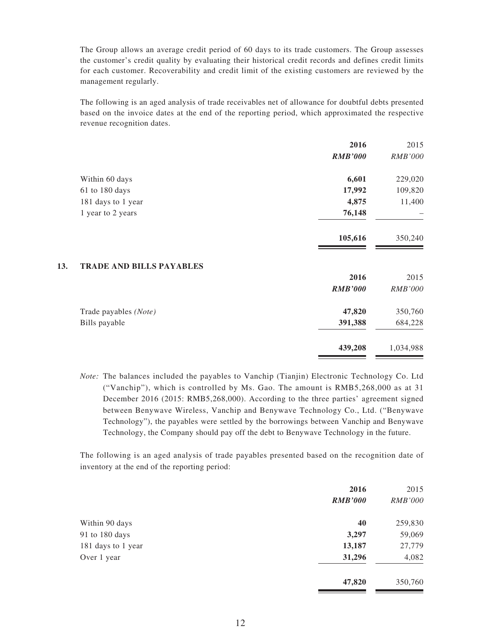The Group allows an average credit period of 60 days to its trade customers. The Group assesses the customer's credit quality by evaluating their historical credit records and defines credit limits for each customer. Recoverability and credit limit of the existing customers are reviewed by the management regularly.

The following is an aged analysis of trade receivables net of allowance for doubtful debts presented based on the invoice dates at the end of the reporting period, which approximated the respective revenue recognition dates.

|     |                                 | 2016           | 2015           |
|-----|---------------------------------|----------------|----------------|
|     |                                 | <b>RMB'000</b> | <b>RMB'000</b> |
|     | Within 60 days                  | 6,601          | 229,020        |
|     | 61 to 180 days                  | 17,992         | 109,820        |
|     | 181 days to 1 year              | 4,875          | 11,400         |
|     | 1 year to 2 years               | 76,148         |                |
|     |                                 | 105,616        | 350,240        |
| 13. | <b>TRADE AND BILLS PAYABLES</b> |                |                |
|     |                                 | 2016           | 2015           |
|     |                                 | <b>RMB'000</b> | <i>RMB'000</i> |
|     | Trade payables (Note)           | 47,820         | 350,760        |
|     | Bills payable                   | 391,388        | 684,228        |
|     |                                 | 439,208        | 1,034,988      |

*Note:* The balances included the payables to Vanchip (Tianjin) Electronic Technology Co. Ltd ("Vanchip"), which is controlled by Ms. Gao. The amount is RMB5,268,000 as at 31 December 2016 (2015: RMB5,268,000). According to the three parties' agreement signed between Benywave Wireless, Vanchip and Benywave Technology Co., Ltd. ("Benywave Technology"), the payables were settled by the borrowings between Vanchip and Benywave Technology, the Company should pay off the debt to Benywave Technology in the future.

The following is an aged analysis of trade payables presented based on the recognition date of inventory at the end of the reporting period:

|                    | 2016<br><b>RMB'000</b> | 2015<br><b>RMB'000</b> |
|--------------------|------------------------|------------------------|
| Within 90 days     | 40                     | 259,830                |
| 91 to 180 days     | 3,297                  | 59,069                 |
| 181 days to 1 year | 13,187                 | 27,779                 |
| Over 1 year        | 31,296                 | 4,082                  |
|                    | 47,820                 | 350,760                |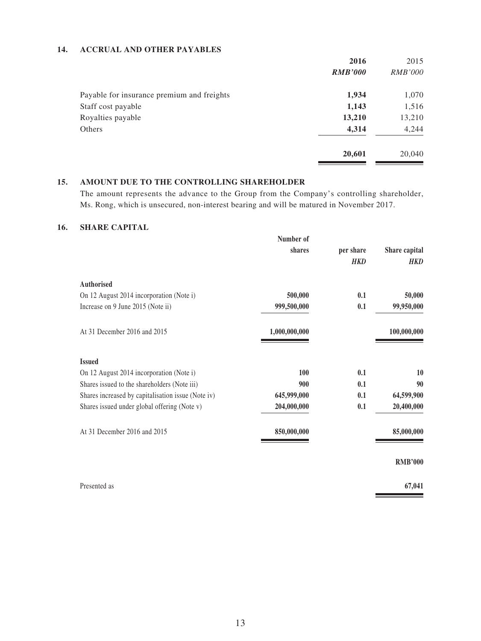#### **14. ACCRUAL AND OTHER PAYABLES**

|                                            | 2016           | 2015           |
|--------------------------------------------|----------------|----------------|
|                                            | <b>RMB'000</b> | <i>RMB'000</i> |
| Payable for insurance premium and freights | 1,934          | 1,070          |
| Staff cost payable                         | 1,143          | 1,516          |
| Royalties payable                          | 13,210         | 13,210         |
| Others                                     | 4,314          | 4,244          |
|                                            | 20,601         | 20,040         |

#### **15. AMOUNT DUE TO the controlling shareholder**

The amount represents the advance to the Group from the Company's controlling shareholder, Ms. Rong, which is unsecured, non-interest bearing and will be matured in November 2017.

#### **16. SHARE CAPITAL**

| Number of     |                         |                             |
|---------------|-------------------------|-----------------------------|
| shares        | per share<br><b>HKD</b> | Share capital<br><b>HKD</b> |
|               |                         |                             |
| 500,000       | 0.1                     | 50,000                      |
| 999,500,000   | 0.1                     | 99,950,000                  |
| 1,000,000,000 |                         | 100,000,000                 |
|               |                         |                             |
| <b>100</b>    | 0.1                     | 10                          |
| 900           | 0.1                     | 90                          |
| 645,999,000   | 0.1                     | 64,599,900                  |
| 204,000,000   | 0.1                     | 20,400,000                  |
| 850,000,000   |                         | 85,000,000                  |
|               |                         | <b>RMB'000</b>              |
|               |                         |                             |

Presented as **67,041**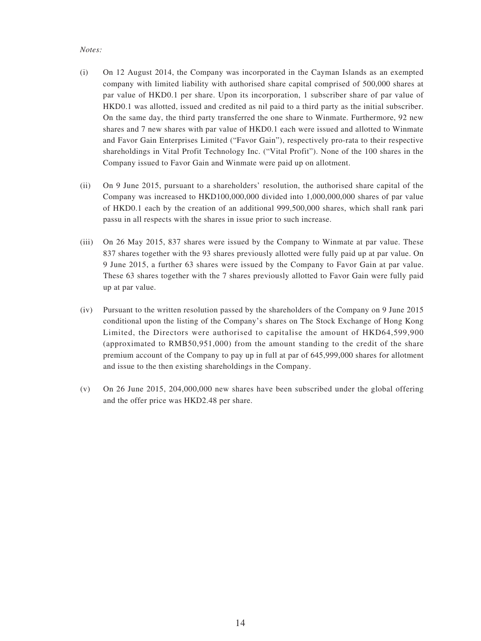#### *Notes:*

- (i) On 12 August 2014, the Company was incorporated in the Cayman Islands as an exempted company with limited liability with authorised share capital comprised of 500,000 shares at par value of HKD0.1 per share. Upon its incorporation, 1 subscriber share of par value of HKD0.1 was allotted, issued and credited as nil paid to a third party as the initial subscriber. On the same day, the third party transferred the one share to Winmate. Furthermore, 92 new shares and 7 new shares with par value of HKD0.1 each were issued and allotted to Winmate and Favor Gain Enterprises Limited ("Favor Gain"), respectively pro-rata to their respective shareholdings in Vital Profit Technology Inc. ("Vital Profit"). None of the 100 shares in the Company issued to Favor Gain and Winmate were paid up on allotment.
- (ii) On 9 June 2015, pursuant to a shareholders' resolution, the authorised share capital of the Company was increased to HKD100,000,000 divided into 1,000,000,000 shares of par value of HKD0.1 each by the creation of an additional 999,500,000 shares, which shall rank pari passu in all respects with the shares in issue prior to such increase.
- (iii) On 26 May 2015, 837 shares were issued by the Company to Winmate at par value. These 837 shares together with the 93 shares previously allotted were fully paid up at par value. On 9 June 2015, a further 63 shares were issued by the Company to Favor Gain at par value. These 63 shares together with the 7 shares previously allotted to Favor Gain were fully paid up at par value.
- (iv) Pursuant to the written resolution passed by the shareholders of the Company on 9 June 2015 conditional upon the listing of the Company's shares on The Stock Exchange of Hong Kong Limited, the Directors were authorised to capitalise the amount of HKD64,599,900 (approximated to RMB50,951,000) from the amount standing to the credit of the share premium account of the Company to pay up in full at par of 645,999,000 shares for allotment and issue to the then existing shareholdings in the Company.
- (v) On 26 June 2015, 204,000,000 new shares have been subscribed under the global offering and the offer price was HKD2.48 per share.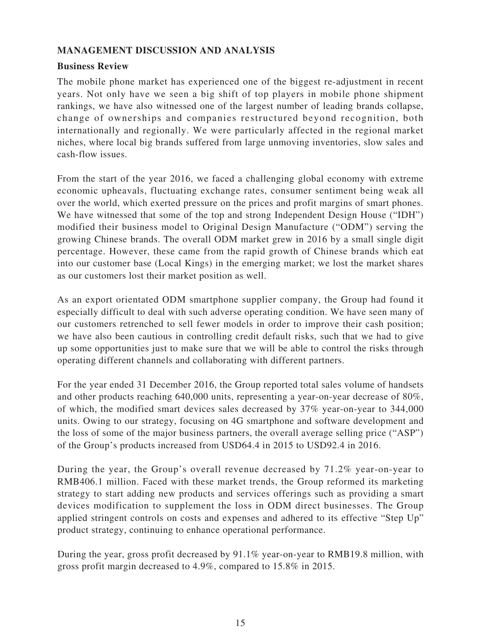# **MANAGEMENT DISCUSSION AND ANALYSIS**

### **Business Review**

The mobile phone market has experienced one of the biggest re-adjustment in recent years. Not only have we seen a big shift of top players in mobile phone shipment rankings, we have also witnessed one of the largest number of leading brands collapse, change of ownerships and companies restructured beyond recognition, both internationally and regionally. We were particularly affected in the regional market niches, where local big brands suffered from large unmoving inventories, slow sales and cash-flow issues.

From the start of the year 2016, we faced a challenging global economy with extreme economic upheavals, fluctuating exchange rates, consumer sentiment being weak all over the world, which exerted pressure on the prices and profit margins of smart phones. We have witnessed that some of the top and strong Independent Design House ("IDH") modified their business model to Original Design Manufacture ("ODM") serving the growing Chinese brands. The overall ODM market grew in 2016 by a small single digit percentage. However, these came from the rapid growth of Chinese brands which eat into our customer base (Local Kings) in the emerging market; we lost the market shares as our customers lost their market position as well.

As an export orientated ODM smartphone supplier company, the Group had found it especially difficult to deal with such adverse operating condition. We have seen many of our customers retrenched to sell fewer models in order to improve their cash position; we have also been cautious in controlling credit default risks, such that we had to give up some opportunities just to make sure that we will be able to control the risks through operating different channels and collaborating with different partners.

For the year ended 31 December 2016, the Group reported total sales volume of handsets and other products reaching 640,000 units, representing a year-on-year decrease of 80%, of which, the modified smart devices sales decreased by 37% year-on-year to 344,000 units. Owing to our strategy, focusing on 4G smartphone and software development and the loss of some of the major business partners, the overall average selling price ("ASP") of the Group's products increased from USD64.4 in 2015 to USD92.4 in 2016.

During the year, the Group's overall revenue decreased by 71.2% year-on-year to RMB406.1 million. Faced with these market trends, the Group reformed its marketing strategy to start adding new products and services offerings such as providing a smart devices modification to supplement the loss in ODM direct businesses. The Group applied stringent controls on costs and expenses and adhered to its effective "Step Up" product strategy, continuing to enhance operational performance.

During the year, gross profit decreased by 91.1% year-on-year to RMB19.8 million, with gross profit margin decreased to 4.9%, compared to 15.8% in 2015.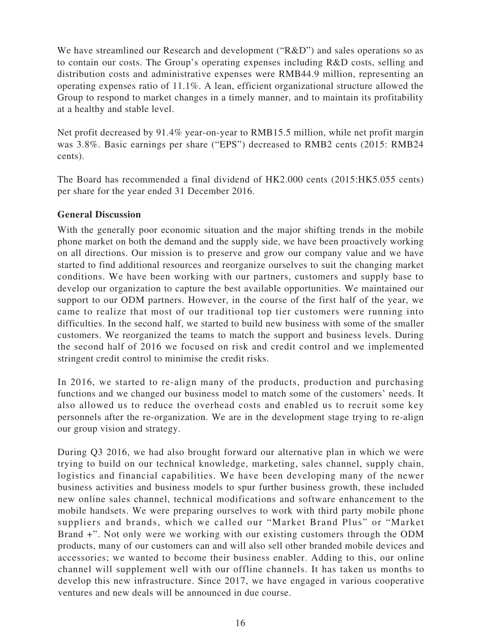We have streamlined our Research and development ("R&D") and sales operations so as to contain our costs. The Group's operating expenses including R&D costs, selling and distribution costs and administrative expenses were RMB44.9 million, representing an operating expenses ratio of 11.1%. A lean, efficient organizational structure allowed the Group to respond to market changes in a timely manner, and to maintain its profitability at a healthy and stable level.

Net profit decreased by 91.4% year-on-year to RMB15.5 million, while net profit margin was 3.8%. Basic earnings per share ("EPS") decreased to RMB2 cents (2015: RMB24 cents).

The Board has recommended a final dividend of HK2.000 cents (2015:HK5.055 cents) per share for the year ended 31 December 2016.

### **General Discussion**

With the generally poor economic situation and the major shifting trends in the mobile phone market on both the demand and the supply side, we have been proactively working on all directions. Our mission is to preserve and grow our company value and we have started to find additional resources and reorganize ourselves to suit the changing market conditions. We have been working with our partners, customers and supply base to develop our organization to capture the best available opportunities. We maintained our support to our ODM partners. However, in the course of the first half of the year, we came to realize that most of our traditional top tier customers were running into difficulties. In the second half, we started to build new business with some of the smaller customers. We reorganized the teams to match the support and business levels. During the second half of 2016 we focused on risk and credit control and we implemented stringent credit control to minimise the credit risks.

In 2016, we started to re-align many of the products, production and purchasing functions and we changed our business model to match some of the customers' needs. It also allowed us to reduce the overhead costs and enabled us to recruit some key personnels after the re-organization. We are in the development stage trying to re-align our group vision and strategy.

During Q3 2016, we had also brought forward our alternative plan in which we were trying to build on our technical knowledge, marketing, sales channel, supply chain, logistics and financial capabilities. We have been developing many of the newer business activities and business models to spur further business growth, these included new online sales channel, technical modifications and software enhancement to the mobile handsets. We were preparing ourselves to work with third party mobile phone suppliers and brands, which we called our "Market Brand Plus" or "Market Brand +". Not only were we working with our existing customers through the ODM products, many of our customers can and will also sell other branded mobile devices and accessories; we wanted to become their business enabler. Adding to this, our online channel will supplement well with our offline channels. It has taken us months to develop this new infrastructure. Since 2017, we have engaged in various cooperative ventures and new deals will be announced in due course.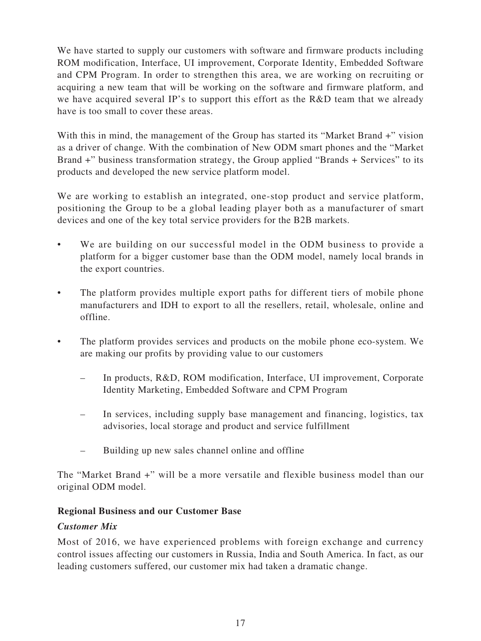We have started to supply our customers with software and firmware products including ROM modification, Interface, UI improvement, Corporate Identity, Embedded Software and CPM Program. In order to strengthen this area, we are working on recruiting or acquiring a new team that will be working on the software and firmware platform, and we have acquired several IP's to support this effort as the R&D team that we already have is too small to cover these areas.

With this in mind, the management of the Group has started its "Market Brand +" vision as a driver of change. With the combination of New ODM smart phones and the "Market Brand +" business transformation strategy, the Group applied "Brands + Services" to its products and developed the new service platform model.

We are working to establish an integrated, one-stop product and service platform, positioning the Group to be a global leading player both as a manufacturer of smart devices and one of the key total service providers for the B2B markets.

- We are building on our successful model in the ODM business to provide a platform for a bigger customer base than the ODM model, namely local brands in the export countries.
- The platform provides multiple export paths for different tiers of mobile phone manufacturers and IDH to export to all the resellers, retail, wholesale, online and offline.
- The platform provides services and products on the mobile phone eco-system. We are making our profits by providing value to our customers
	- In products, R&D, ROM modification, Interface, UI improvement, Corporate Identity Marketing, Embedded Software and CPM Program
	- In services, including supply base management and financing, logistics, tax advisories, local storage and product and service fulfillment
	- Building up new sales channel online and offline

The "Market Brand +" will be a more versatile and flexible business model than our original ODM model.

### **Regional Business and our Customer Base**

### *Customer Mix*

Most of 2016, we have experienced problems with foreign exchange and currency control issues affecting our customers in Russia, India and South America. In fact, as our leading customers suffered, our customer mix had taken a dramatic change.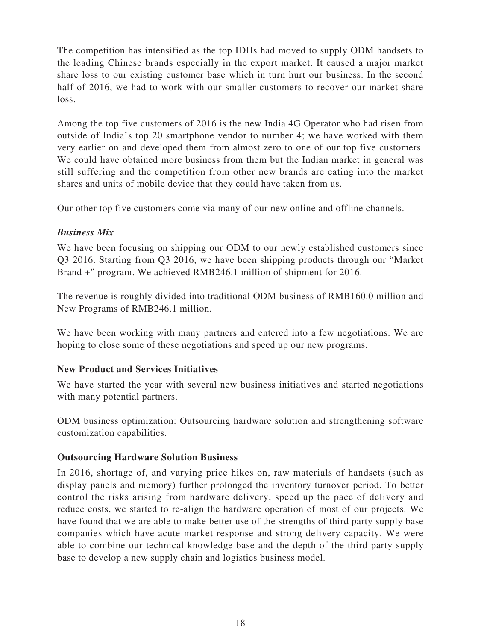The competition has intensified as the top IDHs had moved to supply ODM handsets to the leading Chinese brands especially in the export market. It caused a major market share loss to our existing customer base which in turn hurt our business. In the second half of 2016, we had to work with our smaller customers to recover our market share loss.

Among the top five customers of 2016 is the new India 4G Operator who had risen from outside of India's top 20 smartphone vendor to number 4; we have worked with them very earlier on and developed them from almost zero to one of our top five customers. We could have obtained more business from them but the Indian market in general was still suffering and the competition from other new brands are eating into the market shares and units of mobile device that they could have taken from us.

Our other top five customers come via many of our new online and offline channels.

### *Business Mix*

We have been focusing on shipping our ODM to our newly established customers since Q3 2016. Starting from Q3 2016, we have been shipping products through our "Market Brand +" program. We achieved RMB246.1 million of shipment for 2016.

The revenue is roughly divided into traditional ODM business of RMB160.0 million and New Programs of RMB246.1 million.

We have been working with many partners and entered into a few negotiations. We are hoping to close some of these negotiations and speed up our new programs.

# **New Product and Services Initiatives**

We have started the year with several new business initiatives and started negotiations with many potential partners.

ODM business optimization: Outsourcing hardware solution and strengthening software customization capabilities.

### **Outsourcing Hardware Solution Business**

In 2016, shortage of, and varying price hikes on, raw materials of handsets (such as display panels and memory) further prolonged the inventory turnover period. To better control the risks arising from hardware delivery, speed up the pace of delivery and reduce costs, we started to re-align the hardware operation of most of our projects. We have found that we are able to make better use of the strengths of third party supply base companies which have acute market response and strong delivery capacity. We were able to combine our technical knowledge base and the depth of the third party supply base to develop a new supply chain and logistics business model.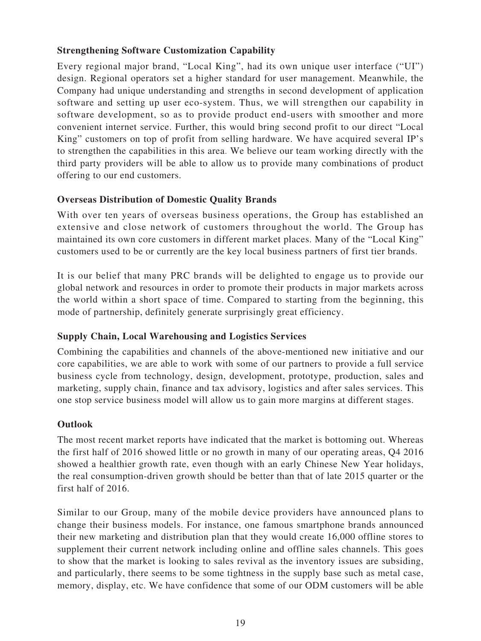# **Strengthening Software Customization Capability**

Every regional major brand, "Local King", had its own unique user interface ("UI") design. Regional operators set a higher standard for user management. Meanwhile, the Company had unique understanding and strengths in second development of application software and setting up user eco-system. Thus, we will strengthen our capability in software development, so as to provide product end-users with smoother and more convenient internet service. Further, this would bring second profit to our direct "Local King" customers on top of profit from selling hardware. We have acquired several IP's to strengthen the capabilities in this area. We believe our team working directly with the third party providers will be able to allow us to provide many combinations of product offering to our end customers.

### **Overseas Distribution of Domestic Quality Brands**

With over ten years of overseas business operations, the Group has established an extensive and close network of customers throughout the world. The Group has maintained its own core customers in different market places. Many of the "Local King" customers used to be or currently are the key local business partners of first tier brands.

It is our belief that many PRC brands will be delighted to engage us to provide our global network and resources in order to promote their products in major markets across the world within a short space of time. Compared to starting from the beginning, this mode of partnership, definitely generate surprisingly great efficiency.

# **Supply Chain, Local Warehousing and Logistics Services**

Combining the capabilities and channels of the above-mentioned new initiative and our core capabilities, we are able to work with some of our partners to provide a full service business cycle from technology, design, development, prototype, production, sales and marketing, supply chain, finance and tax advisory, logistics and after sales services. This one stop service business model will allow us to gain more margins at different stages.

### **Outlook**

The most recent market reports have indicated that the market is bottoming out. Whereas the first half of 2016 showed little or no growth in many of our operating areas, Q4 2016 showed a healthier growth rate, even though with an early Chinese New Year holidays, the real consumption-driven growth should be better than that of late 2015 quarter or the first half of 2016.

Similar to our Group, many of the mobile device providers have announced plans to change their business models. For instance, one famous smartphone brands announced their new marketing and distribution plan that they would create 16,000 offline stores to supplement their current network including online and offline sales channels. This goes to show that the market is looking to sales revival as the inventory issues are subsiding, and particularly, there seems to be some tightness in the supply base such as metal case, memory, display, etc. We have confidence that some of our ODM customers will be able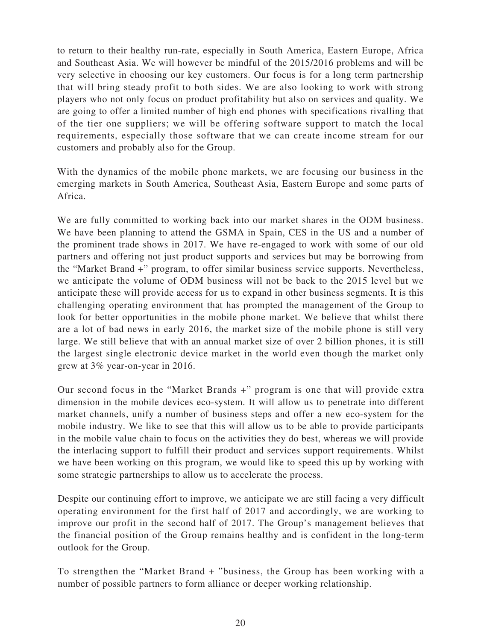to return to their healthy run-rate, especially in South America, Eastern Europe, Africa and Southeast Asia. We will however be mindful of the 2015/2016 problems and will be very selective in choosing our key customers. Our focus is for a long term partnership that will bring steady profit to both sides. We are also looking to work with strong players who not only focus on product profitability but also on services and quality. We are going to offer a limited number of high end phones with specifications rivalling that of the tier one suppliers; we will be offering software support to match the local requirements, especially those software that we can create income stream for our customers and probably also for the Group.

With the dynamics of the mobile phone markets, we are focusing our business in the emerging markets in South America, Southeast Asia, Eastern Europe and some parts of Africa.

We are fully committed to working back into our market shares in the ODM business. We have been planning to attend the GSMA in Spain, CES in the US and a number of the prominent trade shows in 2017. We have re-engaged to work with some of our old partners and offering not just product supports and services but may be borrowing from the "Market Brand +" program, to offer similar business service supports. Nevertheless, we anticipate the volume of ODM business will not be back to the 2015 level but we anticipate these will provide access for us to expand in other business segments. It is this challenging operating environment that has prompted the management of the Group to look for better opportunities in the mobile phone market. We believe that whilst there are a lot of bad news in early 2016, the market size of the mobile phone is still very large. We still believe that with an annual market size of over 2 billion phones, it is still the largest single electronic device market in the world even though the market only grew at 3% year-on-year in 2016.

Our second focus in the "Market Brands +" program is one that will provide extra dimension in the mobile devices eco-system. It will allow us to penetrate into different market channels, unify a number of business steps and offer a new eco-system for the mobile industry. We like to see that this will allow us to be able to provide participants in the mobile value chain to focus on the activities they do best, whereas we will provide the interlacing support to fulfill their product and services support requirements. Whilst we have been working on this program, we would like to speed this up by working with some strategic partnerships to allow us to accelerate the process.

Despite our continuing effort to improve, we anticipate we are still facing a very difficult operating environment for the first half of 2017 and accordingly, we are working to improve our profit in the second half of 2017. The Group's management believes that the financial position of the Group remains healthy and is confident in the long-term outlook for the Group.

To strengthen the "Market Brand + "business, the Group has been working with a number of possible partners to form alliance or deeper working relationship.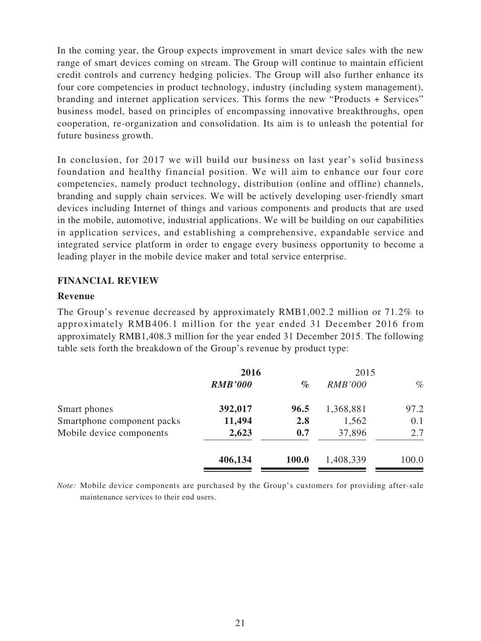In the coming year, the Group expects improvement in smart device sales with the new range of smart devices coming on stream. The Group will continue to maintain efficient credit controls and currency hedging policies. The Group will also further enhance its four core competencies in product technology, industry (including system management), branding and internet application services. This forms the new "Products + Services" business model, based on principles of encompassing innovative breakthroughs, open cooperation, re-organization and consolidation. Its aim is to unleash the potential for future business growth.

In conclusion, for 2017 we will build our business on last year's solid business foundation and healthy financial position. We will aim to enhance our four core competencies, namely product technology, distribution (online and offline) channels, branding and supply chain services. We will be actively developing user-friendly smart devices including Internet of things and various components and products that are used in the mobile, automotive, industrial applications. We will be building on our capabilities in application services, and establishing a comprehensive, expandable service and integrated service platform in order to engage every business opportunity to become a leading player in the mobile device maker and total service enterprise.

#### **FINANCIAL REVIEW**

#### **Revenue**

The Group's revenue decreased by approximately RMB1,002.2 million or 71.2% to approximately RMB406.1 million for the year ended 31 December 2016 from approximately RMB1,408.3 million for the year ended 31 December 2015. The following table sets forth the breakdown of the Group's revenue by product type:

| 2016           |       | 2015           |       |
|----------------|-------|----------------|-------|
| <b>RMB'000</b> | $\%$  | <b>RMB'000</b> | $\%$  |
| 392,017        | 96.5  | 1,368,881      | 97.2  |
| 11,494         | 2.8   | 1,562          | 0.1   |
| 2,623          | 0.7   | 37,896         | 2.7   |
| 406,134        | 100.0 | 1,408,339      | 100.0 |
|                |       |                |       |

*Note:* Mobile device components are purchased by the Group's customers for providing after-sale maintenance services to their end users.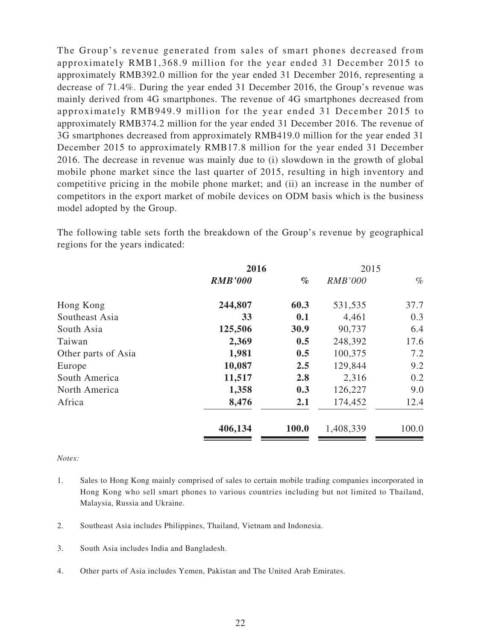The Group's revenue generated from sales of smart phones decreased from approximately RMB1,368.9 million for the year ended 31 December 2015 to approximately RMB392.0 million for the year ended 31 December 2016, representing a decrease of 71.4%. During the year ended 31 December 2016, the Group's revenue was mainly derived from 4G smartphones. The revenue of 4G smartphones decreased from approximately RMB949.9 million for the year ended 31 December 2015 to approximately RMB374.2 million for the year ended 31 December 2016. The revenue of 3G smartphones decreased from approximately RMB419.0 million for the year ended 31 December 2015 to approximately RMB17.8 million for the year ended 31 December 2016. The decrease in revenue was mainly due to (i) slowdown in the growth of global mobile phone market since the last quarter of 2015, resulting in high inventory and competitive pricing in the mobile phone market; and (ii) an increase in the number of competitors in the export market of mobile devices on ODM basis which is the business model adopted by the Group.

The following table sets forth the breakdown of the Group's revenue by geographical regions for the years indicated:

|                     | 2016           |       | 2015           |       |
|---------------------|----------------|-------|----------------|-------|
|                     | <b>RMB'000</b> | $\%$  | <b>RMB'000</b> | $\%$  |
| Hong Kong           | 244,807        | 60.3  | 531,535        | 37.7  |
| Southeast Asia      | 33             | 0.1   | 4,461          | 0.3   |
| South Asia          | 125,506        | 30.9  | 90,737         | 6.4   |
| Taiwan              | 2,369          | 0.5   | 248,392        | 17.6  |
| Other parts of Asia | 1,981          | 0.5   | 100,375        | 7.2   |
| Europe              | 10,087         | 2.5   | 129,844        | 9.2   |
| South America       | 11,517         | 2.8   | 2,316          | 0.2   |
| North America       | 1,358          | 0.3   | 126,227        | 9.0   |
| Africa              | 8,476          | 2.1   | 174,452        | 12.4  |
|                     | 406,134        | 100.0 | 1,408,339      | 100.0 |
|                     |                |       |                |       |

#### *Notes:*

- 1. Sales to Hong Kong mainly comprised of sales to certain mobile trading companies incorporated in Hong Kong who sell smart phones to various countries including but not limited to Thailand, Malaysia, Russia and Ukraine.
- 2. Southeast Asia includes Philippines, Thailand, Vietnam and Indonesia.
- 3. South Asia includes India and Bangladesh.
- 4. Other parts of Asia includes Yemen, Pakistan and The United Arab Emirates.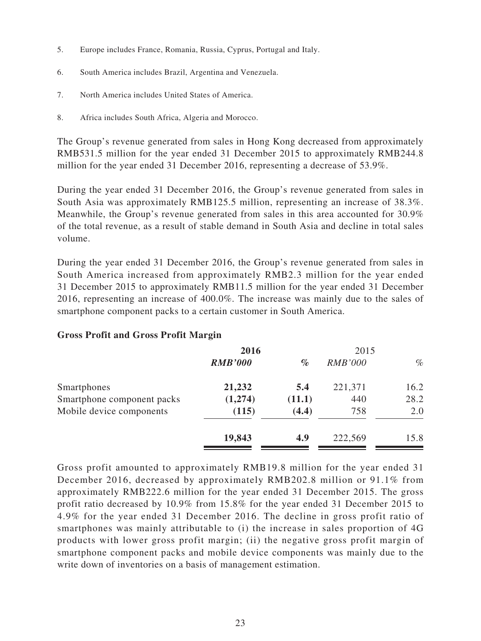- 5. Europe includes France, Romania, Russia, Cyprus, Portugal and Italy.
- 6. South America includes Brazil, Argentina and Venezuela.
- 7. North America includes United States of America.
- 8. Africa includes South Africa, Algeria and Morocco.

The Group's revenue generated from sales in Hong Kong decreased from approximately RMB531.5 million for the year ended 31 December 2015 to approximately RMB244.8 million for the year ended 31 December 2016, representing a decrease of 53.9%.

During the year ended 31 December 2016, the Group's revenue generated from sales in South Asia was approximately RMB125.5 million, representing an increase of 38.3%. Meanwhile, the Group's revenue generated from sales in this area accounted for 30.9% of the total revenue, as a result of stable demand in South Asia and decline in total sales volume.

During the year ended 31 December 2016, the Group's revenue generated from sales in South America increased from approximately RMB2.3 million for the year ended 31 December 2015 to approximately RMB11.5 million for the year ended 31 December 2016, representing an increase of 400.0%. The increase was mainly due to the sales of smartphone component packs to a certain customer in South America.

|                            | 2016           |        | 2015           |      |
|----------------------------|----------------|--------|----------------|------|
|                            | <b>RMB'000</b> | $\%$   | <b>RMB'000</b> | $\%$ |
| Smartphones                | 21,232         | 5.4    | 221,371        | 16.2 |
| Smartphone component packs | (1,274)        | (11.1) | 440            | 28.2 |
| Mobile device components   | (115)          | (4.4)  | 758            | 2.0  |
|                            | 19,843         | 4.9    | 222,569        | 15.8 |
|                            |                |        |                |      |

### **Gross Profit and Gross Profit Margin**

Gross profit amounted to approximately RMB19.8 million for the year ended 31 December 2016, decreased by approximately RMB202.8 million or 91.1% from approximately RMB222.6 million for the year ended 31 December 2015. The gross profit ratio decreased by 10.9% from 15.8% for the year ended 31 December 2015 to 4.9% for the year ended 31 December 2016. The decline in gross profit ratio of smartphones was mainly attributable to (i) the increase in sales proportion of 4G products with lower gross profit margin; (ii) the negative gross profit margin of smartphone component packs and mobile device components was mainly due to the write down of inventories on a basis of management estimation.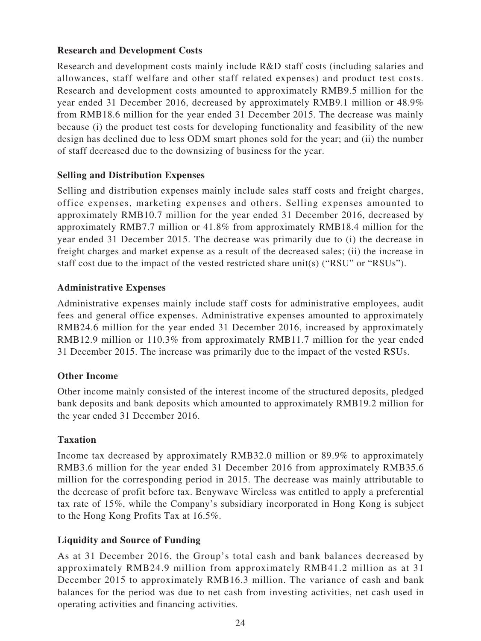# **Research and Development Costs**

Research and development costs mainly include R&D staff costs (including salaries and allowances, staff welfare and other staff related expenses) and product test costs. Research and development costs amounted to approximately RMB9.5 million for the year ended 31 December 2016, decreased by approximately RMB9.1 million or 48.9% from RMB18.6 million for the year ended 31 December 2015. The decrease was mainly because (i) the product test costs for developing functionality and feasibility of the new design has declined due to less ODM smart phones sold for the year; and (ii) the number of staff decreased due to the downsizing of business for the year.

### **Selling and Distribution Expenses**

Selling and distribution expenses mainly include sales staff costs and freight charges, office expenses, marketing expenses and others. Selling expenses amounted to approximately RMB10.7 million for the year ended 31 December 2016, decreased by approximately RMB7.7 million or 41.8% from approximately RMB18.4 million for the year ended 31 December 2015. The decrease was primarily due to (i) the decrease in freight charges and market expense as a result of the decreased sales; (ii) the increase in staff cost due to the impact of the vested restricted share unit(s) ("RSU" or "RSUs").

# **Administrative Expenses**

Administrative expenses mainly include staff costs for administrative employees, audit fees and general office expenses. Administrative expenses amounted to approximately RMB24.6 million for the year ended 31 December 2016, increased by approximately RMB12.9 million or 110.3% from approximately RMB11.7 million for the year ended 31 December 2015. The increase was primarily due to the impact of the vested RSUs.

### **Other Income**

Other income mainly consisted of the interest income of the structured deposits, pledged bank deposits and bank deposits which amounted to approximately RMB19.2 million for the year ended 31 December 2016.

# **Taxation**

Income tax decreased by approximately RMB32.0 million or 89.9% to approximately RMB3.6 million for the year ended 31 December 2016 from approximately RMB35.6 million for the corresponding period in 2015. The decrease was mainly attributable to the decrease of profit before tax. Benywave Wireless was entitled to apply a preferential tax rate of 15%, while the Company's subsidiary incorporated in Hong Kong is subject to the Hong Kong Profits Tax at 16.5%.

# **Liquidity and Source of Funding**

As at 31 December 2016, the Group's total cash and bank balances decreased by approximately RMB24.9 million from approximately RMB41.2 million as at 31 December 2015 to approximately RMB16.3 million. The variance of cash and bank balances for the period was due to net cash from investing activities, net cash used in operating activities and financing activities.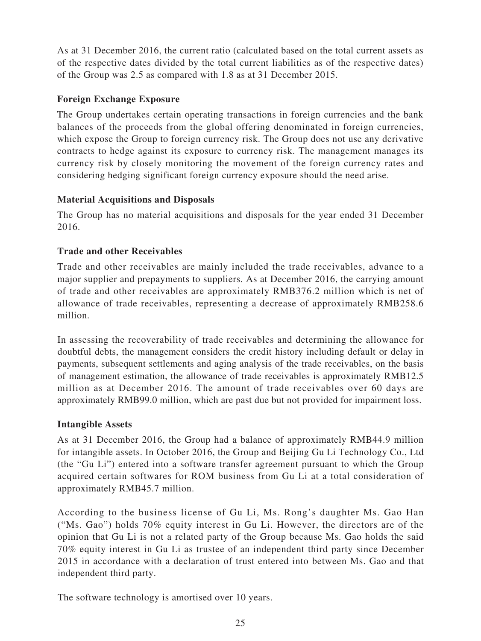As at 31 December 2016, the current ratio (calculated based on the total current assets as of the respective dates divided by the total current liabilities as of the respective dates) of the Group was 2.5 as compared with 1.8 as at 31 December 2015.

# **Foreign Exchange Exposure**

The Group undertakes certain operating transactions in foreign currencies and the bank balances of the proceeds from the global offering denominated in foreign currencies, which expose the Group to foreign currency risk. The Group does not use any derivative contracts to hedge against its exposure to currency risk. The management manages its currency risk by closely monitoring the movement of the foreign currency rates and considering hedging significant foreign currency exposure should the need arise.

# **Material Acquisitions and Disposals**

The Group has no material acquisitions and disposals for the year ended 31 December 2016.

# **Trade and other Receivables**

Trade and other receivables are mainly included the trade receivables, advance to a major supplier and prepayments to suppliers. As at December 2016, the carrying amount of trade and other receivables are approximately RMB376.2 million which is net of allowance of trade receivables, representing a decrease of approximately RMB258.6 million.

In assessing the recoverability of trade receivables and determining the allowance for doubtful debts, the management considers the credit history including default or delay in payments, subsequent settlements and aging analysis of the trade receivables, on the basis of management estimation, the allowance of trade receivables is approximately RMB12.5 million as at December 2016. The amount of trade receivables over 60 days are approximately RMB99.0 million, which are past due but not provided for impairment loss.

# **Intangible Assets**

As at 31 December 2016, the Group had a balance of approximately RMB44.9 million for intangible assets. In October 2016, the Group and Beijing Gu Li Technology Co., Ltd (the "Gu Li") entered into a software transfer agreement pursuant to which the Group acquired certain softwares for ROM business from Gu Li at a total consideration of approximately RMB45.7 million.

According to the business license of Gu Li, Ms. Rong's daughter Ms. Gao Han ("Ms. Gao") holds 70% equity interest in Gu Li. However, the directors are of the opinion that Gu Li is not a related party of the Group because Ms. Gao holds the said 70% equity interest in Gu Li as trustee of an independent third party since December 2015 in accordance with a declaration of trust entered into between Ms. Gao and that independent third party.

The software technology is amortised over 10 years.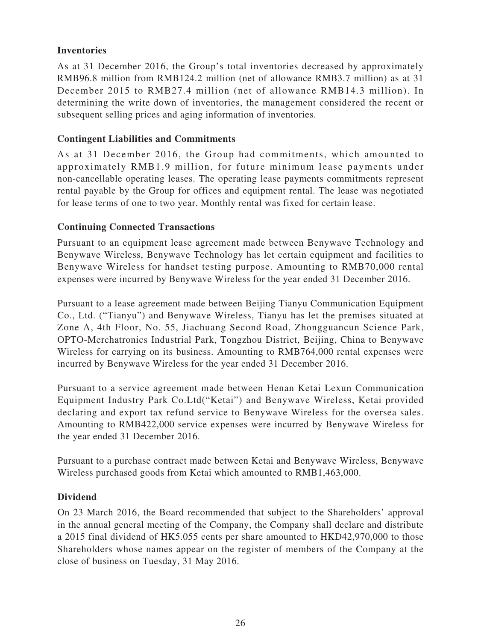# **Inventories**

As at 31 December 2016, the Group's total inventories decreased by approximately RMB96.8 million from RMB124.2 million (net of allowance RMB3.7 million) as at 31 December 2015 to RMB27.4 million (net of allowance RMB14.3 million). In determining the write down of inventories, the management considered the recent or subsequent selling prices and aging information of inventories.

### **Contingent Liabilities and Commitments**

As at 31 December 2016, the Group had commitments, which amounted to approximately RMB1.9 million, for future minimum lease payments under non-cancellable operating leases. The operating lease payments commitments represent rental payable by the Group for offices and equipment rental. The lease was negotiated for lease terms of one to two year. Monthly rental was fixed for certain lease.

# **Continuing Connected Transactions**

Pursuant to an equipment lease agreement made between Benywave Technology and Benywave Wireless, Benywave Technology has let certain equipment and facilities to Benywave Wireless for handset testing purpose. Amounting to RMB70,000 rental expenses were incurred by Benywave Wireless for the year ended 31 December 2016.

Pursuant to a lease agreement made between Beijing Tianyu Communication Equipment Co., Ltd. ("Tianyu") and Benywave Wireless, Tianyu has let the premises situated at Zone A, 4th Floor, No. 55, Jiachuang Second Road, Zhongguancun Science Park, OPTO-Merchatronics Industrial Park, Tongzhou District, Beijing, China to Benywave Wireless for carrying on its business. Amounting to RMB764,000 rental expenses were incurred by Benywave Wireless for the year ended 31 December 2016.

Pursuant to a service agreement made between Henan Ketai Lexun Communication Equipment Industry Park Co.Ltd("Ketai") and Benywave Wireless, Ketai provided declaring and export tax refund service to Benywave Wireless for the oversea sales. Amounting to RMB422,000 service expenses were incurred by Benywave Wireless for the year ended 31 December 2016.

Pursuant to a purchase contract made between Ketai and Benywave Wireless, Benywave Wireless purchased goods from Ketai which amounted to RMB1,463,000.

# **Dividend**

On 23 March 2016, the Board recommended that subject to the Shareholders' approval in the annual general meeting of the Company, the Company shall declare and distribute a 2015 final dividend of HK5.055 cents per share amounted to HKD42,970,000 to those Shareholders whose names appear on the register of members of the Company at the close of business on Tuesday, 31 May 2016.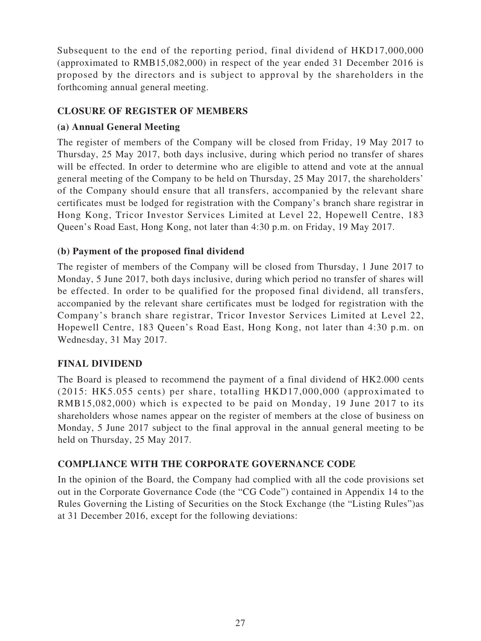Subsequent to the end of the reporting period, final dividend of HKD17,000,000 (approximated to RMB15,082,000) in respect of the year ended 31 December 2016 is proposed by the directors and is subject to approval by the shareholders in the forthcoming annual general meeting.

# **CLOSURE OF REGISTER OF MEMBERS**

# **(a) Annual General Meeting**

The register of members of the Company will be closed from Friday, 19 May 2017 to Thursday, 25 May 2017, both days inclusive, during which period no transfer of shares will be effected. In order to determine who are eligible to attend and vote at the annual general meeting of the Company to be held on Thursday, 25 May 2017, the shareholders' of the Company should ensure that all transfers, accompanied by the relevant share certificates must be lodged for registration with the Company's branch share registrar in Hong Kong, Tricor Investor Services Limited at Level 22, Hopewell Centre, 183 Queen's Road East, Hong Kong, not later than 4:30 p.m. on Friday, 19 May 2017.

# **(b) Payment of the proposed final dividend**

The register of members of the Company will be closed from Thursday, 1 June 2017 to Monday, 5 June 2017, both days inclusive, during which period no transfer of shares will be effected. In order to be qualified for the proposed final dividend, all transfers, accompanied by the relevant share certificates must be lodged for registration with the Company's branch share registrar, Tricor Investor Services Limited at Level 22, Hopewell Centre, 183 Queen's Road East, Hong Kong, not later than 4:30 p.m. on Wednesday, 31 May 2017.

### **FINAL DIVIDEND**

The Board is pleased to recommend the payment of a final dividend of HK2.000 cents (2015: HK5.055 cents) per share, totalling HKD17,000,000 (approximated to RMB15,082,000) which is expected to be paid on Monday, 19 June 2017 to its shareholders whose names appear on the register of members at the close of business on Monday, 5 June 2017 subject to the final approval in the annual general meeting to be held on Thursday, 25 May 2017.

### **COMPLIANCE WITH THE CORPORATE GOVERNANCE CODE**

In the opinion of the Board, the Company had complied with all the code provisions set out in the Corporate Governance Code (the "CG Code") contained in Appendix 14 to the Rules Governing the Listing of Securities on the Stock Exchange (the "Listing Rules")as at 31 December 2016, except for the following deviations: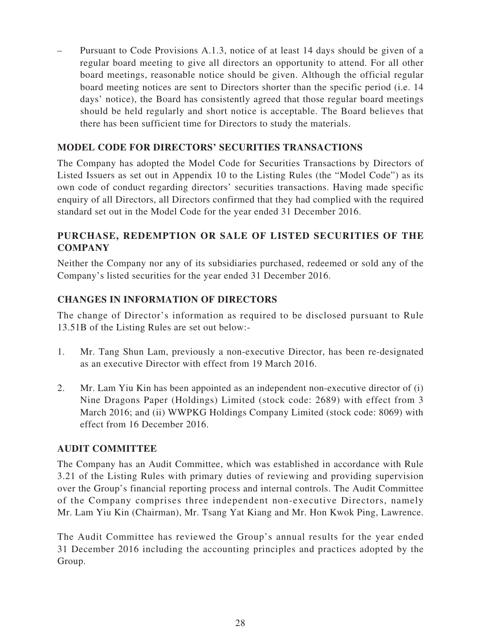Pursuant to Code Provisions A.1.3, notice of at least 14 days should be given of a regular board meeting to give all directors an opportunity to attend. For all other board meetings, reasonable notice should be given. Although the official regular board meeting notices are sent to Directors shorter than the specific period (i.e. 14 days' notice), the Board has consistently agreed that those regular board meetings should be held regularly and short notice is acceptable. The Board believes that there has been sufficient time for Directors to study the materials.

# **MODEL CODE FOR DIRECTORS' SECURITIES TRANSACTIONS**

The Company has adopted the Model Code for Securities Transactions by Directors of Listed Issuers as set out in Appendix 10 to the Listing Rules (the "Model Code") as its own code of conduct regarding directors' securities transactions. Having made specific enquiry of all Directors, all Directors confirmed that they had complied with the required standard set out in the Model Code for the year ended 31 December 2016.

# **PURCHASE, REDEMPTION OR SALE OF LISTED SECURITIES OF THE COMPANY**

Neither the Company nor any of its subsidiaries purchased, redeemed or sold any of the Company's listed securities for the year ended 31 December 2016.

# **CHANGES IN INFORMATION OF DIRECTORS**

The change of Director's information as required to be disclosed pursuant to Rule 13.51B of the Listing Rules are set out below:-

- 1. Mr. Tang Shun Lam, previously a non-executive Director, has been re-designated as an executive Director with effect from 19 March 2016.
- 2. Mr. Lam Yiu Kin has been appointed as an independent non-executive director of (i) Nine Dragons Paper (Holdings) Limited (stock code: 2689) with effect from 3 March 2016; and (ii) WWPKG Holdings Company Limited (stock code: 8069) with effect from 16 December 2016.

### **AUDIT COMMITTEE**

The Company has an Audit Committee, which was established in accordance with Rule 3.21 of the Listing Rules with primary duties of reviewing and providing supervision over the Group's financial reporting process and internal controls. The Audit Committee of the Company comprises three independent non-executive Directors, namely Mr. Lam Yiu Kin (Chairman), Mr. Tsang Yat Kiang and Mr. Hon Kwok Ping, Lawrence.

The Audit Committee has reviewed the Group's annual results for the year ended 31 December 2016 including the accounting principles and practices adopted by the Group.